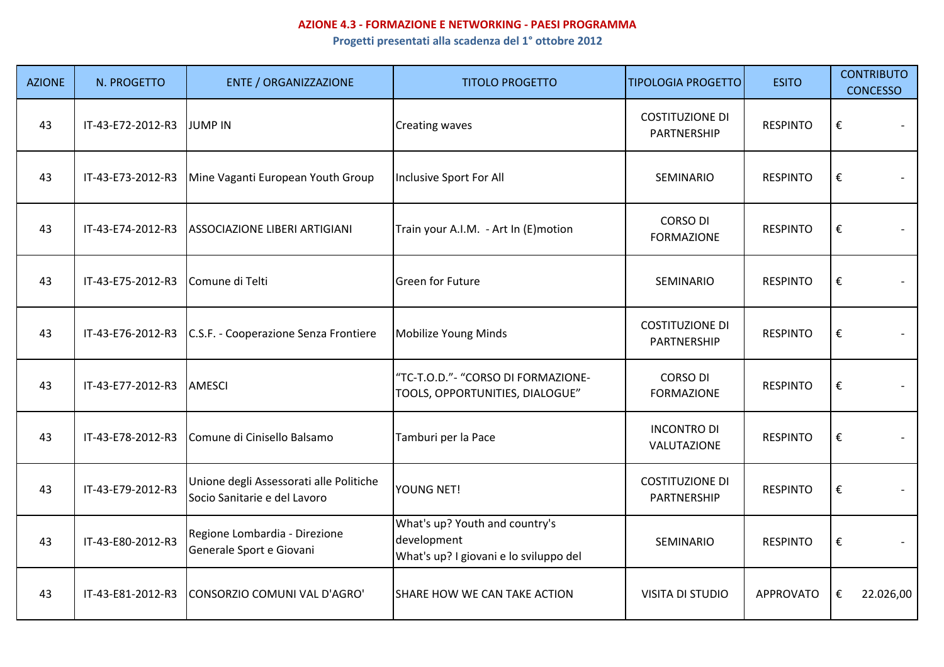## **AZIONE 4.3 - FORMAZIONE E NETWORKING - PAESI PROGRAMMA**

**Progetti presentati alla scadenza del 1° ottobre 2012**

| <b>AZIONE</b> | N. PROGETTO       | <b>ENTE / ORGANIZZAZIONE</b>                                            | <b>TITOLO PROGETTO</b>                                                                  | <b>TIPOLOGIA PROGETTO</b>             | <b>ESITO</b>     | <b>CONTRIBUTO</b><br><b>CONCESSO</b> |
|---------------|-------------------|-------------------------------------------------------------------------|-----------------------------------------------------------------------------------------|---------------------------------------|------------------|--------------------------------------|
| 43            | IT-43-E72-2012-R3 | <b>JUMP IN</b>                                                          | Creating waves                                                                          | <b>COSTITUZIONE DI</b><br>PARTNERSHIP | <b>RESPINTO</b>  | $\boldsymbol{\epsilon}$              |
| 43            | IT-43-E73-2012-R3 | Mine Vaganti European Youth Group                                       | Inclusive Sport For All                                                                 | SEMINARIO                             | <b>RESPINTO</b>  | $\boldsymbol{\epsilon}$              |
| 43            | IT-43-E74-2012-R3 | ASSOCIAZIONE LIBERI ARTIGIANI                                           | Train your A.I.M. - Art In (E)motion                                                    | <b>CORSO DI</b><br><b>FORMAZIONE</b>  | <b>RESPINTO</b>  | €                                    |
| 43            | IT-43-E75-2012-R3 | Comune di Telti                                                         | <b>Green for Future</b>                                                                 | SEMINARIO                             | <b>RESPINTO</b>  | €                                    |
| 43            | IT-43-E76-2012-R3 | C.S.F. - Cooperazione Senza Frontiere                                   | Mobilize Young Minds                                                                    | <b>COSTITUZIONE DI</b><br>PARTNERSHIP | <b>RESPINTO</b>  | €                                    |
| 43            | IT-43-E77-2012-R3 | <b>AMESCI</b>                                                           | "TC-T.O.D."- "CORSO DI FORMAZIONE-<br>TOOLS, OPPORTUNITIES, DIALOGUE"                   | <b>CORSO DI</b><br><b>FORMAZIONE</b>  | <b>RESPINTO</b>  | €                                    |
| 43            | IT-43-E78-2012-R3 | Comune di Cinisello Balsamo                                             | Tamburi per la Pace                                                                     | <b>INCONTRO DI</b><br>VALUTAZIONE     | <b>RESPINTO</b>  | €                                    |
| 43            | IT-43-E79-2012-R3 | Unione degli Assessorati alle Politiche<br>Socio Sanitarie e del Lavoro | YOUNG NET!                                                                              | <b>COSTITUZIONE DI</b><br>PARTNERSHIP | <b>RESPINTO</b>  | €                                    |
| 43            | IT-43-E80-2012-R3 | Regione Lombardia - Direzione<br>Generale Sport e Giovani               | What's up? Youth and country's<br>development<br>What's up? I giovani e lo sviluppo del | SEMINARIO                             | <b>RESPINTO</b>  | €                                    |
| 43            | IT-43-E81-2012-R3 | CONSORZIO COMUNI VAL D'AGRO'                                            | SHARE HOW WE CAN TAKE ACTION                                                            | <b>VISITA DI STUDIO</b>               | <b>APPROVATO</b> | €<br>22.026,00                       |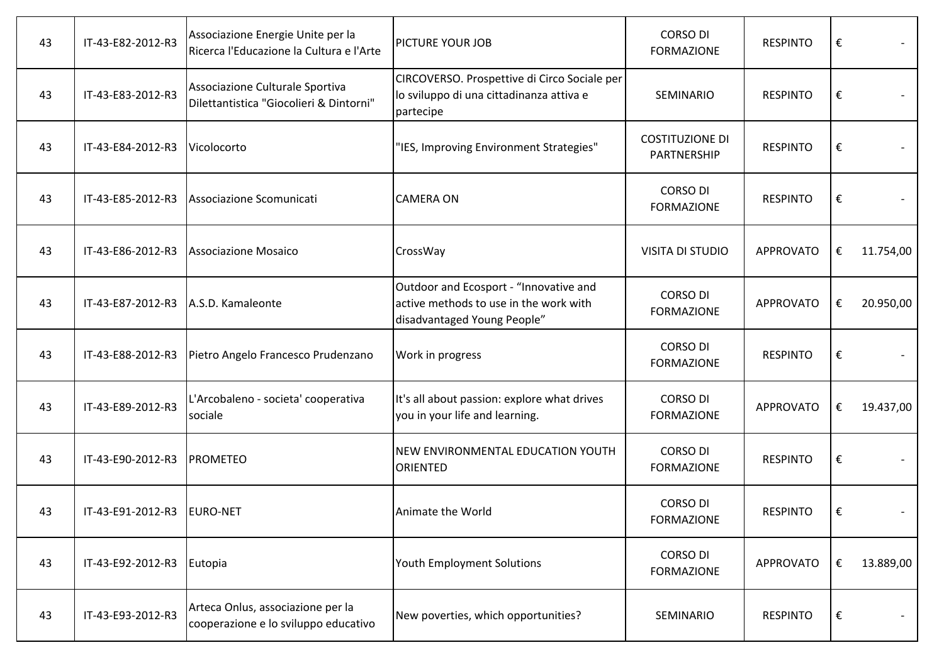| 43 | IT-43-E82-2012-R3         | Associazione Energie Unite per la<br>Ricerca l'Educazione la Cultura e l'Arte | PICTURE YOUR JOB                                                                                                | <b>CORSO DI</b><br><b>FORMAZIONE</b>  | <b>RESPINTO</b>  | €                       |           |
|----|---------------------------|-------------------------------------------------------------------------------|-----------------------------------------------------------------------------------------------------------------|---------------------------------------|------------------|-------------------------|-----------|
| 43 | IT-43-E83-2012-R3         | Associazione Culturale Sportiva<br>Dilettantistica "Giocolieri & Dintorni"    | CIRCOVERSO. Prospettive di Circo Sociale per<br>lo sviluppo di una cittadinanza attiva e<br>partecipe           | SEMINARIO                             | <b>RESPINTO</b>  | $\boldsymbol{\epsilon}$ |           |
| 43 | IT-43-E84-2012-R3         | Vicolocorto                                                                   | "IES, Improving Environment Strategies"                                                                         | <b>COSTITUZIONE DI</b><br>PARTNERSHIP | <b>RESPINTO</b>  | €                       |           |
| 43 | IT-43-E85-2012-R3         | Associazione Scomunicati                                                      | <b>CAMERA ON</b>                                                                                                | <b>CORSO DI</b><br><b>FORMAZIONE</b>  | <b>RESPINTO</b>  | €                       |           |
| 43 | IT-43-E86-2012-R3         | Associazione Mosaico                                                          | CrossWay                                                                                                        | <b>VISITA DI STUDIO</b>               | <b>APPROVATO</b> | €                       | 11.754,00 |
| 43 | IT-43-E87-2012-R3         | A.S.D. Kamaleonte                                                             | Outdoor and Ecosport - "Innovative and<br>active methods to use in the work with<br>disadvantaged Young People" | <b>CORSO DI</b><br><b>FORMAZIONE</b>  | <b>APPROVATO</b> | €                       | 20.950,00 |
| 43 | IT-43-E88-2012-R3         | Pietro Angelo Francesco Prudenzano                                            | Work in progress                                                                                                | <b>CORSO DI</b><br><b>FORMAZIONE</b>  | <b>RESPINTO</b>  | $\boldsymbol{\epsilon}$ |           |
| 43 | IT-43-E89-2012-R3         | L'Arcobaleno - societa' cooperativa<br>sociale                                | It's all about passion: explore what drives<br>you in your life and learning.                                   | <b>CORSO DI</b><br><b>FORMAZIONE</b>  | <b>APPROVATO</b> | €                       | 19.437,00 |
| 43 | IT-43-E90-2012-R3         | <b>PROMETEO</b>                                                               | NEW ENVIRONMENTAL EDUCATION YOUTH<br>ORIENTED                                                                   | <b>CORSO DI</b><br><b>FORMAZIONE</b>  | <b>RESPINTO</b>  | €                       |           |
| 43 | IT-43-E91-2012-R3         | <b>EURO-NET</b>                                                               | Animate the World                                                                                               | <b>CORSO DI</b><br><b>FORMAZIONE</b>  | <b>RESPINTO</b>  | $\boldsymbol{\epsilon}$ |           |
| 43 | IT-43-E92-2012-R3 Eutopia |                                                                               | Youth Employment Solutions                                                                                      | <b>CORSO DI</b><br><b>FORMAZIONE</b>  | <b>APPROVATO</b> | €                       | 13.889,00 |
| 43 | IT-43-E93-2012-R3         | Arteca Onlus, associazione per la<br>cooperazione e lo sviluppo educativo     | New poverties, which opportunities?                                                                             | SEMINARIO                             | <b>RESPINTO</b>  | €                       |           |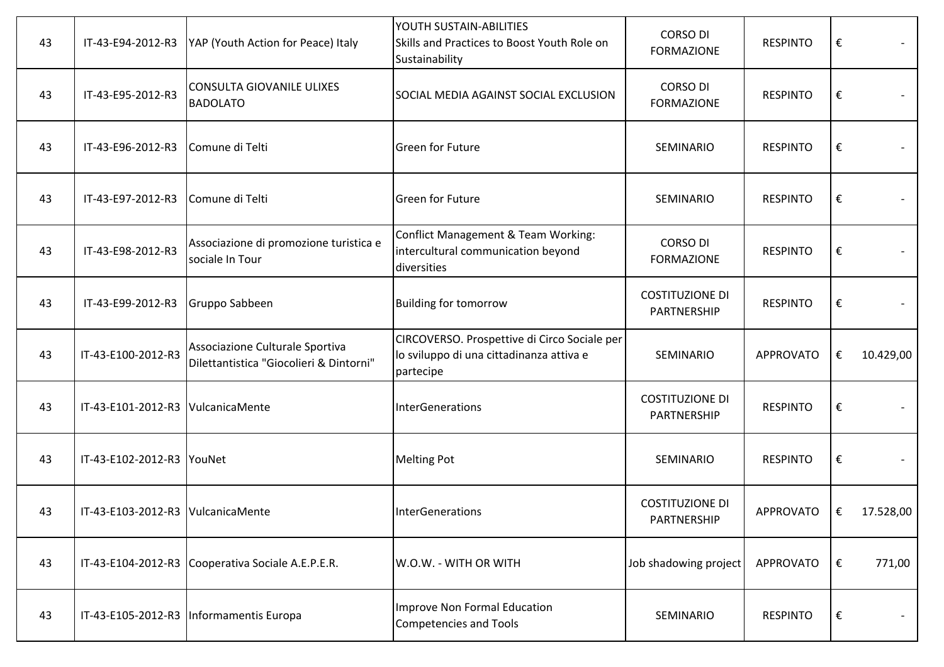| 43 | IT-43-E94-2012-R3                    | YAP (Youth Action for Peace) Italy                                         | YOUTH SUSTAIN-ABILITIES<br>Skills and Practices to Boost Youth Role on<br>Sustainability              | <b>CORSO DI</b><br><b>FORMAZIONE</b>  | <b>RESPINTO</b>  | €                       |           |
|----|--------------------------------------|----------------------------------------------------------------------------|-------------------------------------------------------------------------------------------------------|---------------------------------------|------------------|-------------------------|-----------|
| 43 | IT-43-E95-2012-R3                    | <b>CONSULTA GIOVANILE ULIXES</b><br><b>BADOLATO</b>                        | SOCIAL MEDIA AGAINST SOCIAL EXCLUSION                                                                 | <b>CORSO DI</b><br><b>FORMAZIONE</b>  | <b>RESPINTO</b>  | €                       |           |
| 43 | IT-43-E96-2012-R3                    | Comune di Telti                                                            | <b>Green for Future</b>                                                                               | SEMINARIO                             | <b>RESPINTO</b>  | €                       |           |
| 43 | IT-43-E97-2012-R3                    | Comune di Telti                                                            | <b>Green for Future</b>                                                                               | SEMINARIO                             | <b>RESPINTO</b>  | €                       |           |
| 43 | IT-43-E98-2012-R3                    | Associazione di promozione turistica e<br>sociale In Tour                  | Conflict Management & Team Working:<br>intercultural communication beyond<br>diversities              | <b>CORSO DI</b><br><b>FORMAZIONE</b>  | <b>RESPINTO</b>  | €                       |           |
| 43 | IT-43-E99-2012-R3                    | Gruppo Sabbeen                                                             | <b>Building for tomorrow</b>                                                                          | <b>COSTITUZIONE DI</b><br>PARTNERSHIP | <b>RESPINTO</b>  | $\boldsymbol{\epsilon}$ |           |
| 43 | IT-43-E100-2012-R3                   | Associazione Culturale Sportiva<br>Dilettantistica "Giocolieri & Dintorni" | CIRCOVERSO. Prospettive di Circo Sociale per<br>lo sviluppo di una cittadinanza attiva e<br>partecipe | SEMINARIO                             | <b>APPROVATO</b> | €                       | 10.429,00 |
| 43 | IT-43-E101-2012-R3 VulcanicaMente    |                                                                            | InterGenerations                                                                                      | <b>COSTITUZIONE DI</b><br>PARTNERSHIP | <b>RESPINTO</b>  | $\boldsymbol{\epsilon}$ |           |
| 43 | IT-43-E102-2012-R3 YouNet            |                                                                            | <b>Melting Pot</b>                                                                                    | SEMINARIO                             | <b>RESPINTO</b>  | €                       |           |
| 43 | IT-43-E103-2012-R3   Vulcanica Mente |                                                                            | <b>InterGenerations</b>                                                                               | <b>COSTITUZIONE DI</b><br>PARTNERSHIP | <b>APPROVATO</b> | $\epsilon$              | 17.528,00 |
| 43 |                                      | IT-43-E104-2012-R3 Cooperativa Sociale A.E.P.E.R.                          | W.O.W. - WITH OR WITH                                                                                 | Job shadowing project                 | <b>APPROVATO</b> | $\epsilon$              | 771,00    |
| 43 |                                      | IT-43-E105-2012-R3   Informamentis Europa                                  | Improve Non Formal Education<br>Competencies and Tools                                                | SEMINARIO                             | <b>RESPINTO</b>  | $\boldsymbol{\epsilon}$ |           |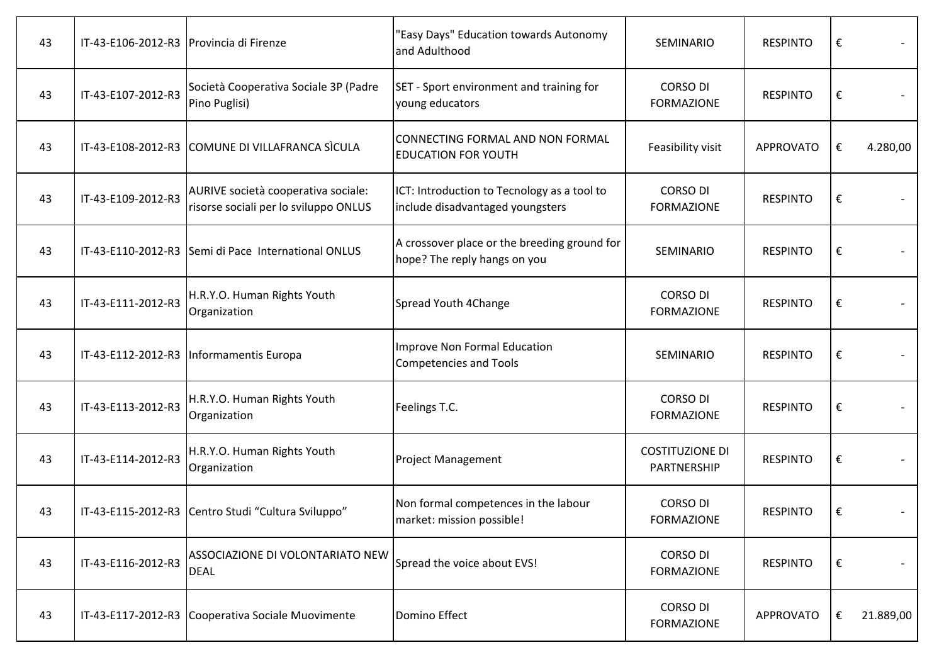| 43 | IT-43-E106-2012-R3   Provincia di Firenze |                                                                              | 'Easy Days" Education towards Autonomy<br>and Adulthood                         | SEMINARIO                             | <b>RESPINTO</b>  | € |           |
|----|-------------------------------------------|------------------------------------------------------------------------------|---------------------------------------------------------------------------------|---------------------------------------|------------------|---|-----------|
| 43 | IT-43-E107-2012-R3                        | Società Cooperativa Sociale 3P (Padre<br>Pino Puglisi)                       | SET - Sport environment and training for<br>young educators                     | <b>CORSO DI</b><br><b>FORMAZIONE</b>  | <b>RESPINTO</b>  | € |           |
| 43 |                                           | IT-43-E108-2012-R3 COMUNE DI VILLAFRANCA SICULA                              | CONNECTING FORMAL AND NON FORMAL<br><b>EDUCATION FOR YOUTH</b>                  | Feasibility visit                     | <b>APPROVATO</b> | € | 4.280,00  |
| 43 | IT-43-E109-2012-R3                        | AURIVE società cooperativa sociale:<br>risorse sociali per lo sviluppo ONLUS | ICT: Introduction to Tecnology as a tool to<br>include disadvantaged youngsters | <b>CORSO DI</b><br><b>FORMAZIONE</b>  | <b>RESPINTO</b>  | € |           |
| 43 |                                           | IT-43-E110-2012-R3 Semi di Pace International ONLUS                          | A crossover place or the breeding ground for<br>hope? The reply hangs on you    | SEMINARIO                             | <b>RESPINTO</b>  | € |           |
| 43 | IT-43-E111-2012-R3                        | H.R.Y.O. Human Rights Youth<br>Organization                                  | Spread Youth 4Change                                                            | <b>CORSO DI</b><br><b>FORMAZIONE</b>  | <b>RESPINTO</b>  | € |           |
| 43 |                                           | IT-43-E112-2012-R3   Informamentis Europa                                    | Improve Non Formal Education<br><b>Competencies and Tools</b>                   | SEMINARIO                             | <b>RESPINTO</b>  | € |           |
| 43 | IT-43-E113-2012-R3                        | H.R.Y.O. Human Rights Youth<br>Organization                                  | Feelings T.C.                                                                   | <b>CORSO DI</b><br><b>FORMAZIONE</b>  | <b>RESPINTO</b>  | € |           |
| 43 | IT-43-E114-2012-R3                        | H.R.Y.O. Human Rights Youth<br>Organization                                  | <b>Project Management</b>                                                       | <b>COSTITUZIONE DI</b><br>PARTNERSHIP | <b>RESPINTO</b>  | € |           |
| 43 |                                           | IT-43-E115-2012-R3 Centro Studi "Cultura Sviluppo"                           | Non formal competences in the labour<br>market: mission possible!               | <b>CORSO DI</b><br><b>FORMAZIONE</b>  | <b>RESPINTO</b>  | € |           |
| 43 | IT-43-E116-2012-R3                        | ASSOCIAZIONE DI VOLONTARIATO NEW<br><b>DEAL</b>                              | Spread the voice about EVS!                                                     | <b>CORSO DI</b><br><b>FORMAZIONE</b>  | <b>RESPINTO</b>  | € |           |
| 43 |                                           | IT-43-E117-2012-R3 Cooperativa Sociale Muovimente                            | Domino Effect                                                                   | <b>CORSO DI</b><br><b>FORMAZIONE</b>  | <b>APPROVATO</b> | € | 21.889,00 |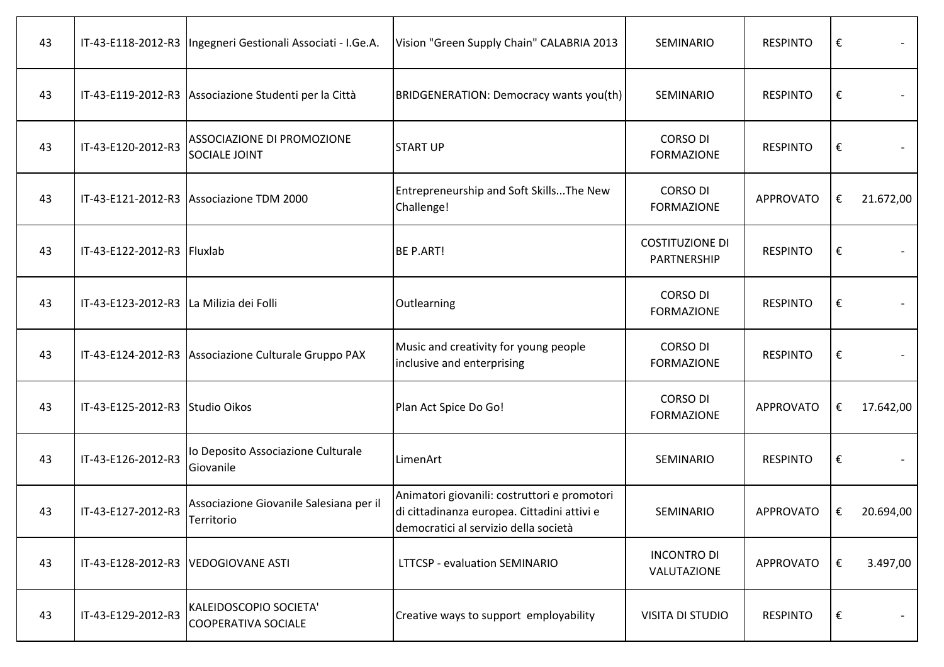| 43 |                                         | IT-43-E118-2012-R3   Ingegneri Gestionali Associati - I.Ge.A. | Vision "Green Supply Chain" CALABRIA 2013                                                                                            | SEMINARIO                             | <b>RESPINTO</b>  | €                       |           |
|----|-----------------------------------------|---------------------------------------------------------------|--------------------------------------------------------------------------------------------------------------------------------------|---------------------------------------|------------------|-------------------------|-----------|
| 43 |                                         | IT-43-E119-2012-R3 Associazione Studenti per la Città         | BRIDGENERATION: Democracy wants you(th)                                                                                              | SEMINARIO                             | <b>RESPINTO</b>  | €                       |           |
| 43 | IT-43-E120-2012-R3                      | <b>ASSOCIAZIONE DI PROMOZIONE</b><br><b>SOCIALE JOINT</b>     | <b>START UP</b>                                                                                                                      | <b>CORSO DI</b><br><b>FORMAZIONE</b>  | <b>RESPINTO</b>  | $\boldsymbol{\epsilon}$ |           |
| 43 |                                         | IT-43-E121-2012-R3 Associazione TDM 2000                      | Entrepreneurship and Soft SkillsThe New<br>Challenge!                                                                                | <b>CORSO DI</b><br><b>FORMAZIONE</b>  | APPROVATO        | €                       | 21.672,00 |
| 43 | IT-43-E122-2012-R3 Fluxlab              |                                                               | <b>BE P.ART!</b>                                                                                                                     | <b>COSTITUZIONE DI</b><br>PARTNERSHIP | <b>RESPINTO</b>  | $\boldsymbol{\epsilon}$ |           |
| 43 | IT-43-E123-2012-R3 La Milizia dei Folli |                                                               | Outlearning                                                                                                                          | <b>CORSO DI</b><br><b>FORMAZIONE</b>  | <b>RESPINTO</b>  | $\boldsymbol{\epsilon}$ |           |
| 43 |                                         | IT-43-E124-2012-R3 Associazione Culturale Gruppo PAX          | Music and creativity for young people<br>inclusive and enterprising                                                                  | <b>CORSO DI</b><br><b>FORMAZIONE</b>  | <b>RESPINTO</b>  | $\boldsymbol{\epsilon}$ |           |
| 43 | IT-43-E125-2012-R3 Studio Oikos         |                                                               | Plan Act Spice Do Go!                                                                                                                | <b>CORSO DI</b><br><b>FORMAZIONE</b>  | <b>APPROVATO</b> | €                       | 17.642,00 |
| 43 | IT-43-E126-2012-R3                      | lo Deposito Associazione Culturale<br>Giovanile               | LimenArt                                                                                                                             | SEMINARIO                             | <b>RESPINTO</b>  | $\boldsymbol{\epsilon}$ |           |
| 43 | IT-43-E127-2012-R3                      | Associazione Giovanile Salesiana per il<br>Territorio         | Animatori giovanili: costruttori e promotori<br>di cittadinanza europea. Cittadini attivi e<br>democratici al servizio della società | SEMINARIO                             | <b>APPROVATO</b> | €                       | 20.694,00 |
| 43 | IT-43-E128-2012-R3  VEDOGIOVANE ASTI    |                                                               | <b>LTTCSP - evaluation SEMINARIO</b>                                                                                                 | <b>INCONTRO DI</b><br>VALUTAZIONE     | APPROVATO        | €                       | 3.497,00  |
| 43 | IT-43-E129-2012-R3                      | KALEIDOSCOPIO SOCIETA'<br><b>COOPERATIVA SOCIALE</b>          | Creative ways to support employability                                                                                               | <b>VISITA DI STUDIO</b>               | <b>RESPINTO</b>  | €                       |           |